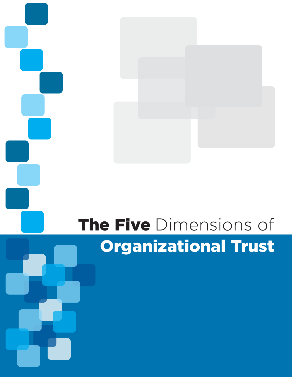# The Five Dimensions of Organizational Trust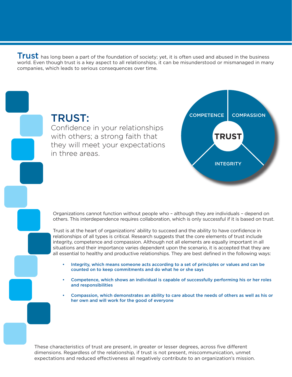Trust has long been a part of the foundation of society; yet, it is often used and abused in the business world. Even though trust is a key aspect to all relationships, it can be misunderstood or mismanaged in many companies, which leads to serious consequences over time.



Organizations cannot function without people who – although they are individuals – depend on others. This interdependence requires collaboration, which is only successful if it is based on trust.

Trust is at the heart of organizations' ability to succeed and the ability to have confidence in relationships of all types is critical. Research suggests that the core elements of trust include integrity, competence and compassion. Although not all elements are equally important in all situations and their importance varies dependent upon the scenario, it is accepted that they are all essential to healthy and productive relationships. They are best defined in the following ways:

- Integrity, which means someone acts according to a set of principles or values and can be counted on to keep commitments and do what he or she says
- Competence, which shows an individual is capable of successfully performing his or her roles and responsibilities
- Compassion, which demonstrates an ability to care about the needs of others as well as his or her own and will work for the good of everyone

These characteristics of trust are present, in greater or lesser degrees, across five different dimensions. Regardless of the relationship, if trust is not present, miscommunication, unmet expectations and reduced effectiveness all negatively contribute to an organization's mission.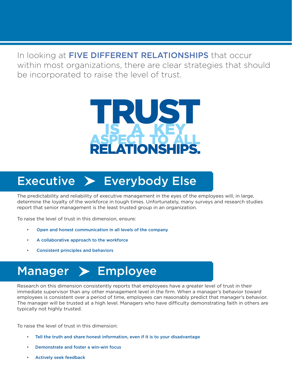In looking at FIVE DIFFERENT RELATIONSHIPS that occur within most organizations, there are clear strategies that should be incorporated to raise the level of trust.



### $Exercise$  Everybody Else

The predictability and reliability of executive management in the eyes of the employees will, in large, determine the loyalty of the workforce in tough times. Unfortunately, many surveys and research studies report that senior management is the least trusted group in an organization.

To raise the level of trust in this dimension, ensure:

- Open and honest communication in all levels of the company
- A collaborative approach to the workforce
- Consistent principles and behaviors

## Manager > Employee

Research on this dimension consistently reports that employees have a greater level of trust in their immediate supervisor than any other management level in the firm. When a manager's behavior toward employees is consistent over a period of time, employees can reasonably predict that manager's behavior. The manager will be trusted at a high level. Managers who have difficulty demonstrating faith in others are typically not highly trusted.

To raise the level of trust in this dimension:

- Tell the truth and share honest information, even if it is to your disadvantage
- Demonstrate and foster a win-win focus
- Actively seek feedback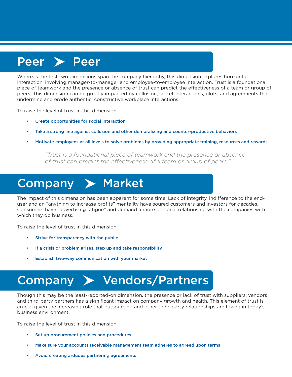#### Peer > Peer

Whereas the first two dimensions span the company hierarchy, this dimension explores horizontal interaction, involving manager-to-manager and employee-to-employee interaction. Trust is a foundational piece of teamwork and the presence or absence of trust can predict the effectiveness of a team or group of peers. This dimension can be greatly impacted by collusion, secret interactions, plots, and agreements that undermine and erode authentic, constructive workplace interactions.

To raise the level of trust in this dimension:

- Create opportunities for social interaction
- Take a strong line against collusion and other demoralizing and counter-productive behaviors
- Motivate employees at all levels to solve problems by providing appropriate training, resources and rewards

*"Trust is a foundational piece of teamwork and the presence or absence of trust can predict the effectiveness of a team or group of peers."*

#### Company > Market

The impact of this dimension has been apparent for some time. Lack of integrity, indifference to the enduser and an "anything to increase profits" mentality have soured customers and investors for decades. Consumers have "advertising fatigue" and demand a more personal relationship with the companies with which they do business.

To raise the level of trust in this dimension:

- Strive for transparency with the public
- If a crisis or problem arises, step up and take responsibility
- Establish two-way communication with your market

## Company > Vendors/Partners

Though this may be the least-reported-on dimension, the presence or lack of trust with suppliers, vendors and third-party partners has a significant impact on company growth and health. This element of trust is crucial given the increasing role that outsourcing and other third-party relationships are taking in today's business environment.

To raise the level of trust in this dimension:

- Set up procurement policies and procedures
- Make sure your accounts receivable management team adheres to agreed upon terms
- Avoid creating arduous partnering agreements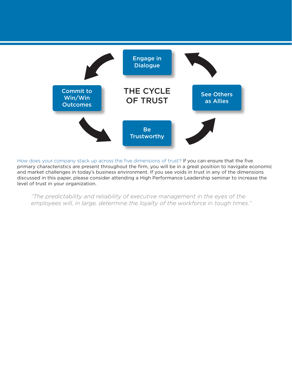

How does your company stack up across the five dimensions of trust? If you can ensure that the five primary characteristics are present throughout the firm, you will be in a great position to navigate economic and market challenges in today's business environment. If you see voids in trust in any of the dimensions discussed in this paper, please consider attending a High Performance Leadership seminar to increase the level of trust in your organization.

*"The predictability and reliability of executive management in the eyes of the employees will, in large, determine the loyalty of the workforce in tough times."*